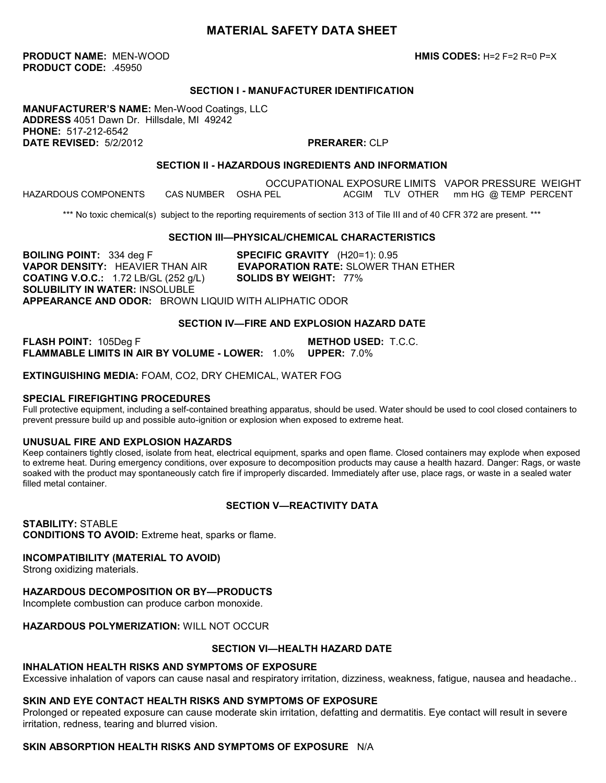# **MATERIAL SAFETY DATA SHEET**

**PRODUCT NAME:** MEN-WOOD **HMIS CODES:** H=2 F=2 R=0 P=X **PRODUCT CODE:** .45950

#### **SECTION I - MANUFACTURER IDENTIFICATION**

**MANUFACTURER'S NAME:** Men-Wood Coatings, LLC **ADDRESS** 4051 Dawn Dr. Hillsdale, MI 49242 **PHONE:** 517-212-6542 **DATE REVISED:** 5/2/2012 **PRERARER:** CLP

#### **SECTION II - HAZARDOUS INGREDIENTS AND INFORMATION**

OCCUPATIONAL EXPOSURE LIMITS VAPOR PRESSURE WEIGHT<br>CAS NUMBER OSHA PEL ACGIM TLV OTHER mm HG @ TEMP PERCENT HAZARDOUS COMPONENTS CAS NUMBER OSHA PEL ACGIM TLV OTHER mm HG @ TEMP PERCENT

\*\*\* No toxic chemical(s) subject to the reporting requirements of section 313 of Tile III and of 40 CFR 372 are present. \*\*\*

#### **SECTION III—PHYSICAL/CHEMICAL CHARACTERISTICS**

**BOILING POINT:** 334 deg F **SPECIFIC GRAVITY** (H20=1): 0.95 **VAPOR DENSITY:** HEAVIER THAN AIR **EVAPORATION RATE:** SLOWER THAN ETHER **COATING V.O.C.:** 1.72 LB/GL (252 g/L) **SOLIDS BY WEIGHT:** 77% **SOLUBILITY IN WATER:** INSOLUBLE **APPEARANCE AND ODOR:** BROWN LIQUID WITH ALIPHATIC ODOR

#### **SECTION IV—FIRE AND EXPLOSION HAZARD DATE**

**FLASH POINT:** 105Deg F **METHOD USED:** T.C.C. **FLAMMABLE LIMITS IN AIR BY VOLUME - LOWER:** 1.0% **UPPER:** 7.0%

**EXTINGUISHING MEDIA:** FOAM, CO2, DRY CHEMICAL, WATER FOG

#### **SPECIAL FIREFIGHTING PROCEDURES**

Full protective equipment, including a self-contained breathing apparatus, should be used. Water should be used to cool closed containers to prevent pressure build up and possible auto-ignition or explosion when exposed to extreme heat.

#### **UNUSUAL FIRE AND EXPLOSION HAZARDS**

Keep containers tightly closed, isolate from heat, electrical equipment, sparks and open flame. Closed containers may explode when exposed to extreme heat. During emergency conditions, over exposure to decomposition products may cause a health hazard. Danger: Rags, or waste soaked with the product may spontaneously catch fire if improperly discarded. Immediately after use, place rags, or waste in a sealed water filled metal container.

#### **SECTION V—REACTIVITY DATA**

**STABILITY:** STABLE **CONDITIONS TO AVOID:** Extreme heat, sparks or flame.

#### **INCOMPATIBILITY (MATERIAL TO AVOID)**

Strong oxidizing materials.

# **HAZARDOUS DECOMPOSITION OR BY—PRODUCTS**

Incomplete combustion can produce carbon monoxide.

## **HAZARDOUS POLYMERIZATION:** WILL NOT OCCUR

# **SECTION VI—HEALTH HAZARD DATE**

## **INHALATION HEALTH RISKS AND SYMPTOMS OF EXPOSURE**

Excessive inhalation of vapors can cause nasal and respiratory irritation, dizziness, weakness, fatigue, nausea and headache..

## **SKIN AND EYE CONTACT HEALTH RISKS AND SYMPTOMS OF EXPOSURE**

Prolonged or repeated exposure can cause moderate skin irritation, defatting and dermatitis. Eye contact will result in severe irritation, redness, tearing and blurred vision.

# **SKIN ABSORPTION HEALTH RISKS AND SYMPTOMS OF EXPOSURE** N/A